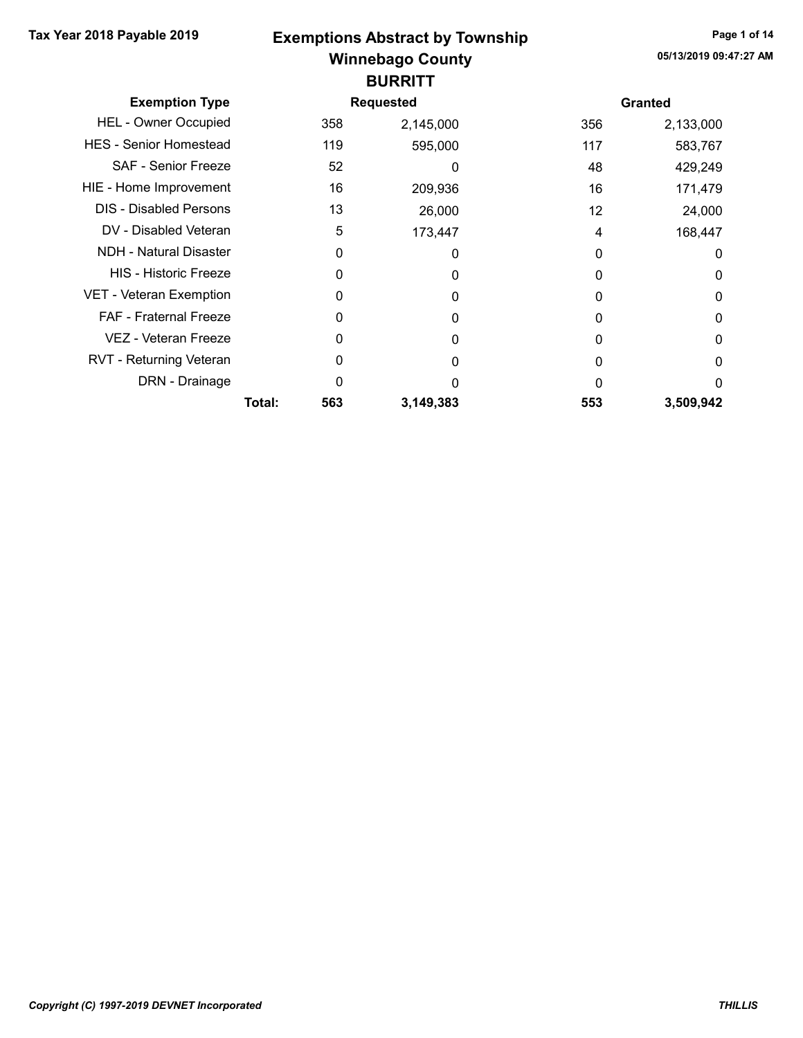#### Winnebago County Tax Year 2018 Payable 2019 Page 1 of 14 Exemptions Abstract by Township **BURRITT**

| <b>Exemption Type</b>         |        |     | <b>Requested</b> |     | <b>Granted</b> |
|-------------------------------|--------|-----|------------------|-----|----------------|
| <b>HEL - Owner Occupied</b>   |        | 358 | 2,145,000        | 356 | 2,133,000      |
| <b>HES</b> - Senior Homestead |        | 119 | 595,000          | 117 | 583,767        |
| <b>SAF - Senior Freeze</b>    |        | 52  | 0                | 48  | 429,249        |
| HIE - Home Improvement        |        | 16  | 209,936          | 16  | 171,479        |
| <b>DIS - Disabled Persons</b> |        | 13  | 26,000           | 12  | 24,000         |
| DV - Disabled Veteran         |        | 5   | 173,447          | 4   | 168,447        |
| NDH - Natural Disaster        |        | 0   | 0                | 0   | 0              |
| <b>HIS - Historic Freeze</b>  |        | ი   | 0                | 0   | 0              |
| VET - Veteran Exemption       |        | 0   | 0                | 0   | 0              |
| FAF - Fraternal Freeze        |        | O   | $\Omega$         | 0   | $\Omega$       |
| VEZ - Veteran Freeze          |        | 0   | 0                | 0   | 0              |
| RVT - Returning Veteran       |        | O   | 0                | 0   | 0              |
| DRN - Drainage                |        | 0   | O                | O   | 0              |
|                               | Total: | 563 | 3,149,383        | 553 | 3,509,942      |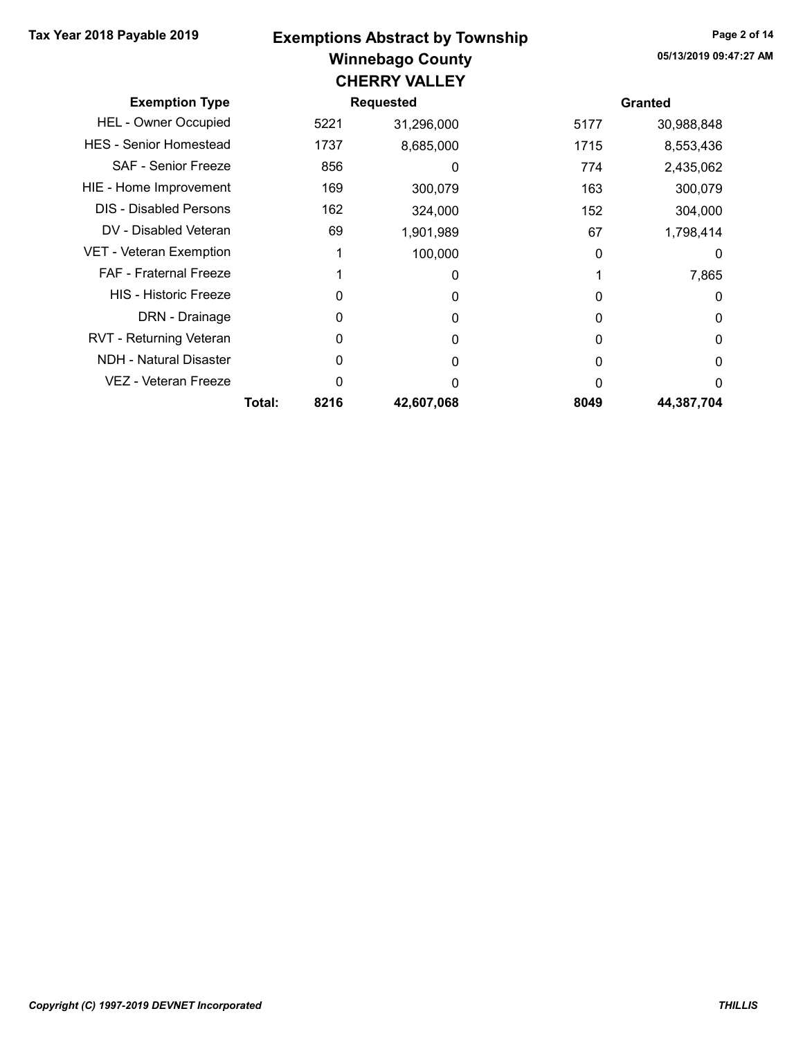#### Winnebago County Tax Year 2018 Payable 2019 Page 2 of 14 Exemptions Abstract by Township CHERRY VALLEY

| VIILINNI VALLLI               |        |                  |            |      |                |  |  |  |  |
|-------------------------------|--------|------------------|------------|------|----------------|--|--|--|--|
| <b>Exemption Type</b>         |        | <b>Requested</b> |            |      | <b>Granted</b> |  |  |  |  |
| <b>HEL - Owner Occupied</b>   |        | 5221             | 31,296,000 | 5177 | 30,988,848     |  |  |  |  |
| <b>HES</b> - Senior Homestead |        | 1737             | 8,685,000  | 1715 | 8,553,436      |  |  |  |  |
| SAF - Senior Freeze           |        | 856              | 0          | 774  | 2,435,062      |  |  |  |  |
| HIE - Home Improvement        |        | 169              | 300,079    | 163  | 300,079        |  |  |  |  |
| <b>DIS</b> - Disabled Persons |        | 162              | 324,000    | 152  | 304,000        |  |  |  |  |
| DV - Disabled Veteran         |        | 69               | 1,901,989  | 67   | 1,798,414      |  |  |  |  |
| VET - Veteran Exemption       |        |                  | 100,000    | 0    | 0              |  |  |  |  |
| <b>FAF</b> - Fraternal Freeze |        |                  | 0          |      | 7,865          |  |  |  |  |
| <b>HIS - Historic Freeze</b>  |        | O                | 0          |      | 0              |  |  |  |  |
| DRN - Drainage                |        | 0                | 0          | 0    | 0              |  |  |  |  |
| RVT - Returning Veteran       |        | 0                | 0          | O    | 0              |  |  |  |  |
| NDH - Natural Disaster        |        | 0                | 0          | O    | 0              |  |  |  |  |
| VEZ - Veteran Freeze          |        | O                | n          |      | 0              |  |  |  |  |
|                               | Total: | 8216             | 42,607,068 | 8049 | 44,387,704     |  |  |  |  |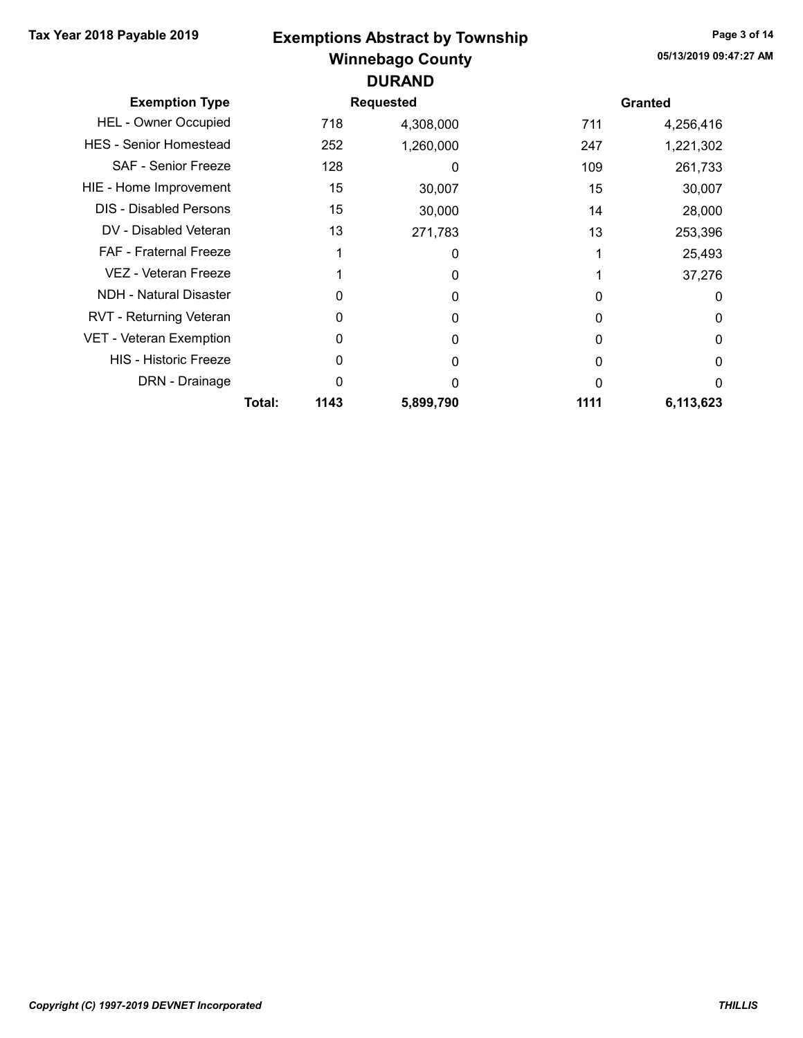# Winnebago County Tax Year 2018 Payable 2019 Page 3 of 14 Exemptions Abstract by Township DURAND

| <b>Exemption Type</b>          |        |      | <b>Requested</b> |      | <b>Granted</b> |
|--------------------------------|--------|------|------------------|------|----------------|
| <b>HEL - Owner Occupied</b>    |        | 718  | 4,308,000        | 711  | 4,256,416      |
| <b>HES - Senior Homestead</b>  |        | 252  | 1,260,000        | 247  | 1,221,302      |
| <b>SAF - Senior Freeze</b>     |        | 128  | 0                | 109  | 261,733        |
| HIE - Home Improvement         |        | 15   | 30,007           | 15   | 30,007         |
| DIS - Disabled Persons         |        | 15   | 30,000           | 14   | 28,000         |
| DV - Disabled Veteran          |        | 13   | 271,783          | 13   | 253,396        |
| <b>FAF</b> - Fraternal Freeze  |        |      | 0                |      | 25,493         |
| VEZ - Veteran Freeze           |        |      | 0                |      | 37,276         |
| <b>NDH - Natural Disaster</b>  |        | 0    | 0                | 0    | 0              |
| <b>RVT - Returning Veteran</b> |        | O    | 0                | 0    | 0              |
| VET - Veteran Exemption        |        | 0    | 0                | 0    | 0              |
| <b>HIS - Historic Freeze</b>   |        | O    | 0                | 0    | 0              |
| DRN - Drainage                 |        | ი    | O                | O    | $\Omega$       |
|                                | Total: | 1143 | 5,899,790        | 1111 | 6,113,623      |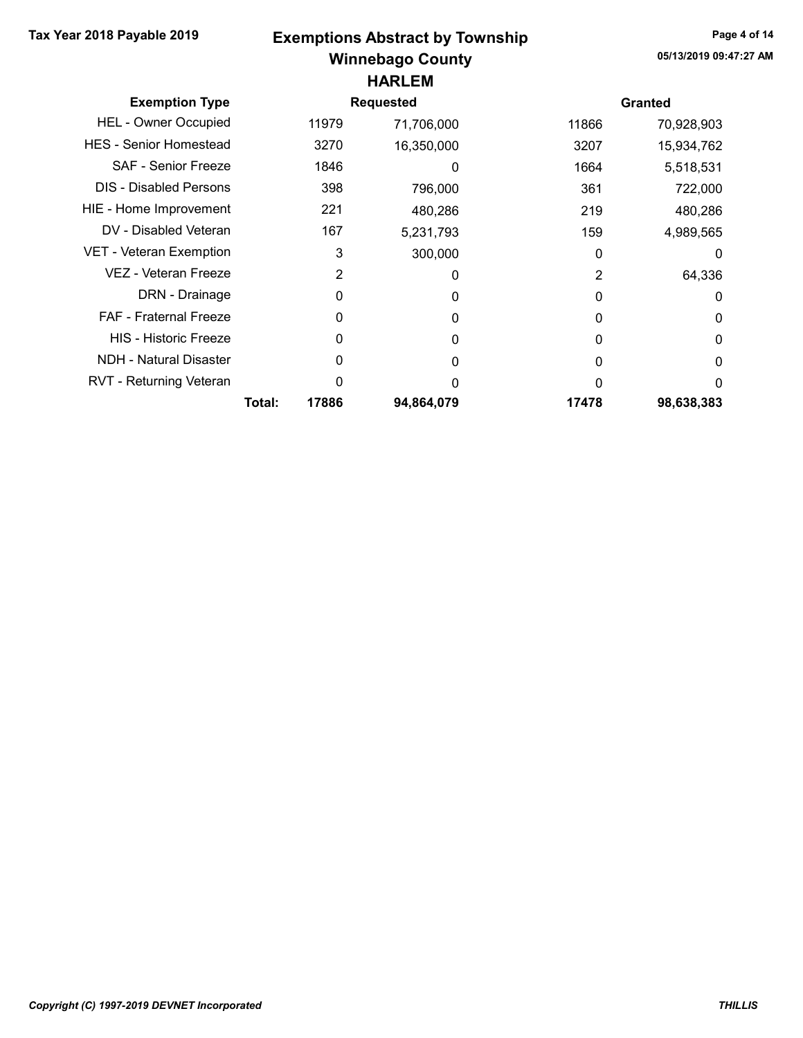## Winnebago County Tax Year 2018 Payable 2019 Page 4 of 14 Exemptions Abstract by Township HARLEM

| <b>Exemption Type</b>         |        |       | <b>Requested</b> |              | <b>Granted</b> |
|-------------------------------|--------|-------|------------------|--------------|----------------|
| <b>HEL - Owner Occupied</b>   |        | 11979 | 71,706,000       | 11866        | 70,928,903     |
| <b>HES - Senior Homestead</b> |        | 3270  | 16,350,000       | 3207         | 15,934,762     |
| SAF - Senior Freeze           |        | 1846  | 0                | 1664         | 5,518,531      |
| <b>DIS</b> - Disabled Persons |        | 398   | 796,000          | 361          | 722,000        |
| HIE - Home Improvement        |        | 221   | 480,286          | 219          | 480,286        |
| DV - Disabled Veteran         |        | 167   | 5,231,793        | 159          | 4,989,565      |
| VET - Veteran Exemption       |        | 3     | 300,000          | $\Omega$     | 0              |
| VEZ - Veteran Freeze          |        | 2     | 0                | 2            | 64,336         |
| DRN - Drainage                |        | 0     | 0                | 0            | 0              |
| <b>FAF</b> - Fraternal Freeze |        | 0     | 0                | 0            | 0              |
| <b>HIS - Historic Freeze</b>  |        | 0     | 0                | <sup>0</sup> | 0              |
| <b>NDH - Natural Disaster</b> |        | 0     | 0                | 0            | 0              |
| RVT - Returning Veteran       |        | O     | ∩                |              | 0              |
|                               | Total: | 17886 | 94,864,079       | 17478        | 98,638,383     |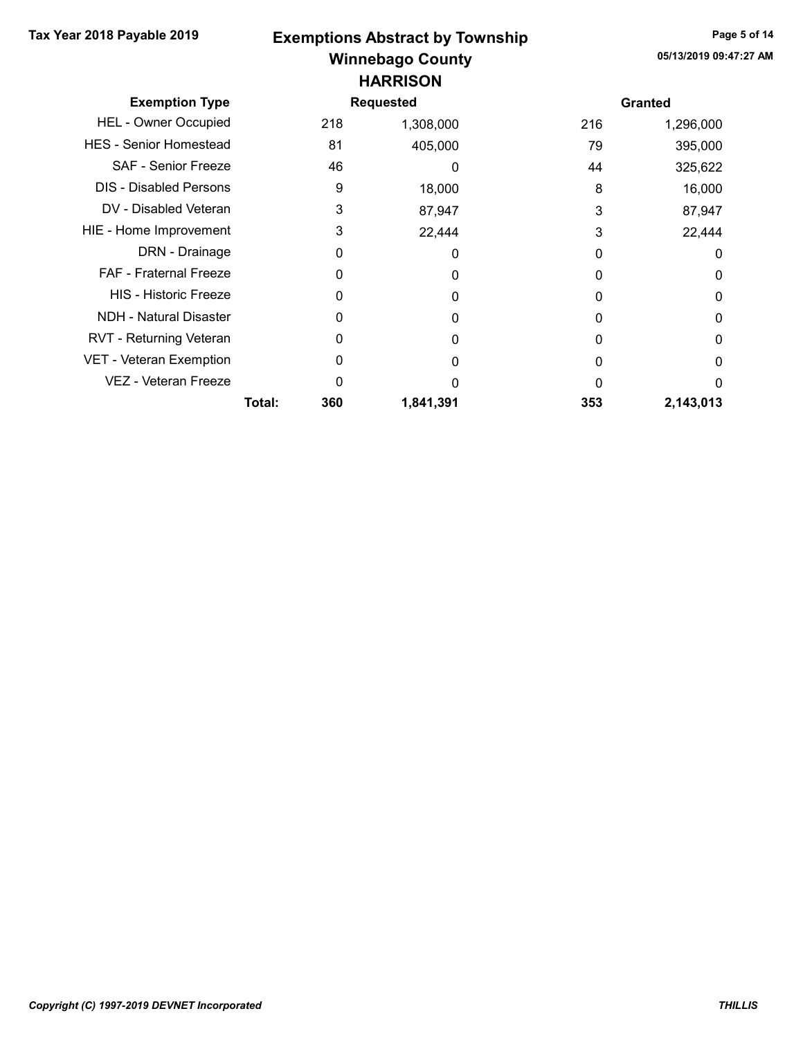# Winnebago County Tax Year 2018 Payable 2019 Page 5 of 14 Exemptions Abstract by Township **HARRISON**

| <b>Exemption Type</b>         |        |     | <b>Requested</b> |     | <b>Granted</b> |
|-------------------------------|--------|-----|------------------|-----|----------------|
| <b>HEL - Owner Occupied</b>   |        | 218 | 1,308,000        | 216 | 1,296,000      |
| <b>HES</b> - Senior Homestead |        | 81  | 405,000          | 79  | 395,000        |
| <b>SAF - Senior Freeze</b>    |        | 46  |                  | 44  | 325,622        |
| <b>DIS</b> - Disabled Persons |        | 9   | 18,000           | 8   | 16,000         |
| DV - Disabled Veteran         |        | 3   | 87,947           | 3   | 87,947         |
| HIE - Home Improvement        |        | 3   | 22,444           | 3   | 22,444         |
| DRN - Drainage                |        | O   | 0                | 0   | 0              |
| FAF - Fraternal Freeze        |        |     | 0                | O   | 0              |
| <b>HIS</b> - Historic Freeze  |        |     | 0                | O   | 0              |
| <b>NDH - Natural Disaster</b> |        |     | 0                |     | 0              |
| RVT - Returning Veteran       |        | O   | 0                | 0   | 0              |
| VET - Veteran Exemption       |        |     | 0                | O   | 0              |
| VEZ - Veteran Freeze          |        |     | O                | O   | $\Omega$       |
|                               | Total: | 360 | 1,841,391        | 353 | 2,143,013      |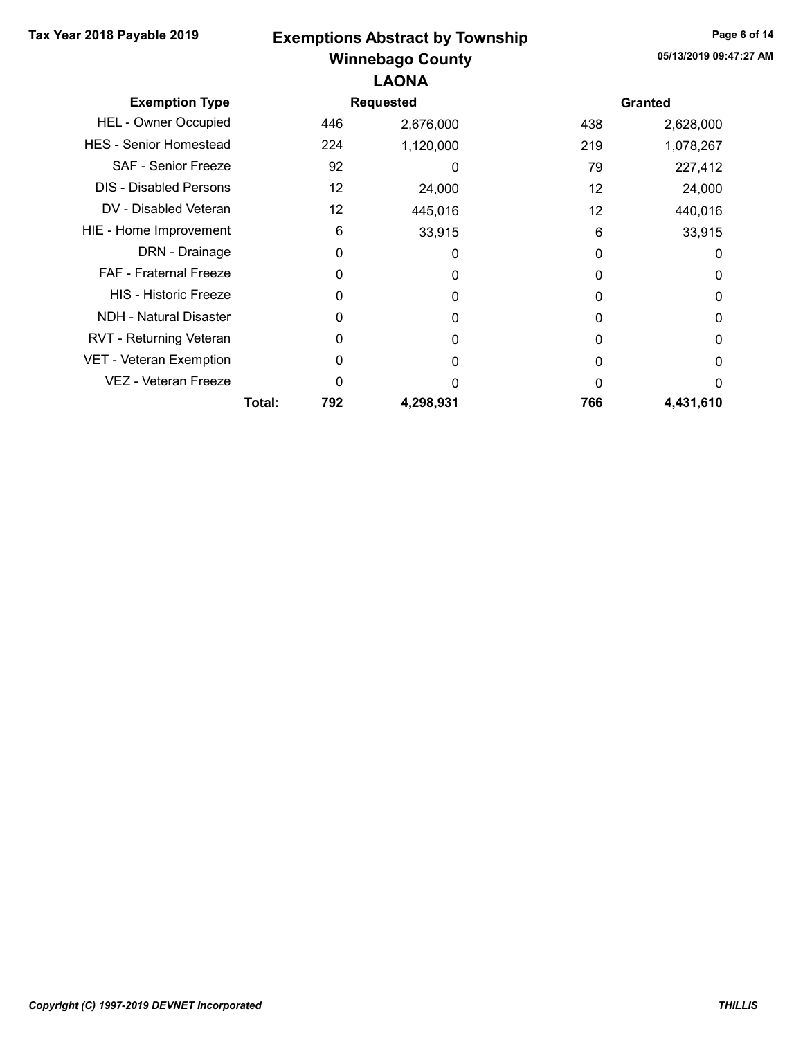## Winnebago County Tax Year 2018 Payable 2019 Exemptions Abstract by Township Page 6 of 14 LAONA

| <b>Exemption Type</b>         |        |     | <b>Requested</b> |     | <b>Granted</b> |
|-------------------------------|--------|-----|------------------|-----|----------------|
| <b>HEL - Owner Occupied</b>   |        | 446 | 2,676,000        | 438 | 2,628,000      |
| <b>HES - Senior Homestead</b> |        | 224 | 1,120,000        | 219 | 1,078,267      |
| <b>SAF - Senior Freeze</b>    |        | 92  | 0                | 79  | 227,412        |
| <b>DIS - Disabled Persons</b> |        | 12  | 24,000           | 12  | 24,000         |
| DV - Disabled Veteran         |        | 12  | 445,016          | 12  | 440,016        |
| HIE - Home Improvement        |        | 6   | 33,915           | 6   | 33,915         |
| DRN - Drainage                |        | 0   | 0                | 0   | 0              |
| <b>FAF - Fraternal Freeze</b> |        | 0   | 0                | 0   | 0              |
| <b>HIS - Historic Freeze</b>  |        | 0   | 0                | 0   | 0              |
| <b>NDH - Natural Disaster</b> |        | 0   | 0                | O   | 0              |
| RVT - Returning Veteran       |        | 0   | 0                | 0   | 0              |
| VET - Veteran Exemption       |        | 0   | 0                | ი   | 0              |
| VEZ - Veteran Freeze          |        | 0   | ი                | O   | $\Omega$       |
|                               | Total: | 792 | 4,298,931        | 766 | 4,431,610      |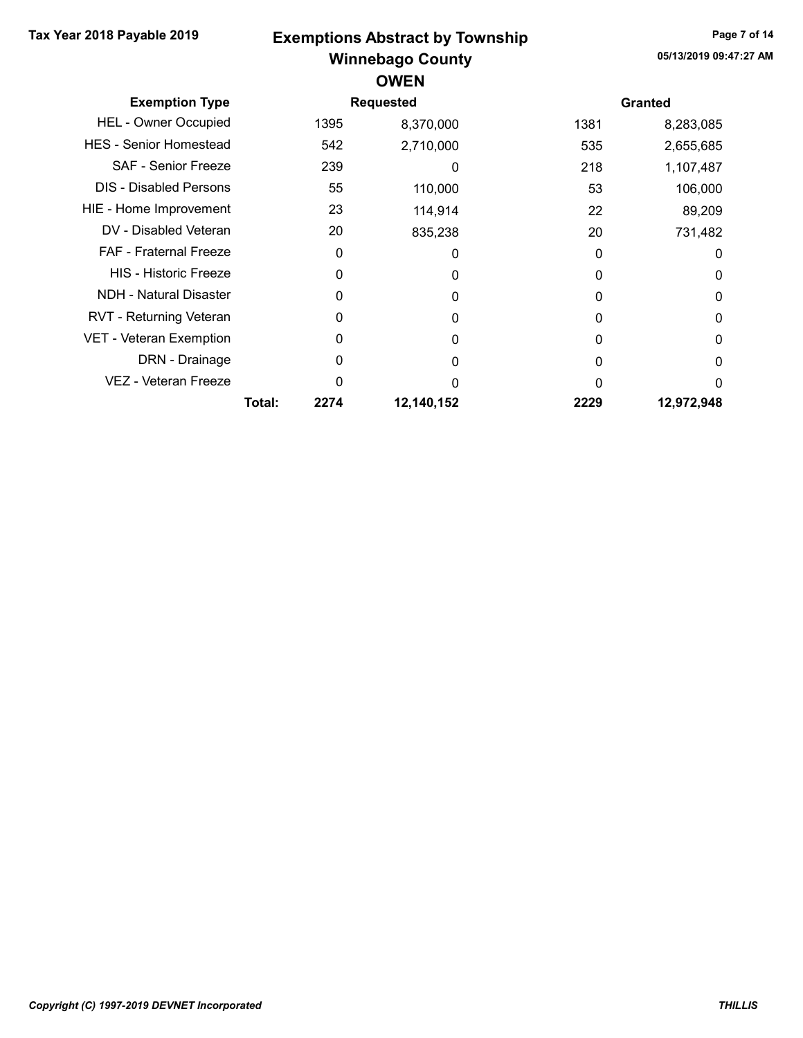## Winnebago County Tax Year 2018 Payable 2019 Page 7 of 14 Exemptions Abstract by Township **OWEN**

| <b>Exemption Type</b>         |        |      | <b>Requested</b> |          | <b>Granted</b> |
|-------------------------------|--------|------|------------------|----------|----------------|
| <b>HEL - Owner Occupied</b>   |        | 1395 | 8,370,000        | 1381     | 8,283,085      |
| <b>HES</b> - Senior Homestead |        | 542  | 2,710,000        | 535      | 2,655,685      |
| SAF - Senior Freeze           |        | 239  | 0                | 218      | 1,107,487      |
| <b>DIS - Disabled Persons</b> |        | 55   | 110,000          | 53       | 106,000        |
| HIE - Home Improvement        |        | 23   | 114,914          | 22       | 89,209         |
| DV - Disabled Veteran         |        | 20   | 835,238          | 20       | 731,482        |
| <b>FAF - Fraternal Freeze</b> |        | 0    | $\Omega$         | 0        | 0              |
| <b>HIS - Historic Freeze</b>  |        | 0    | 0                | $\Omega$ | 0              |
| NDH - Natural Disaster        |        | 0    | $\Omega$         | 0        | 0              |
| RVT - Returning Veteran       |        |      | $\Omega$         | 0        | 0              |
| VET - Veteran Exemption       |        | 0    | $\Omega$         | 0        | 0              |
| DRN - Drainage                |        | O    | 0                |          | 0              |
| VEZ - Veteran Freeze          |        | ი    |                  |          | 0              |
|                               | Total: | 2274 | 12,140,152       | 2229     | 12,972,948     |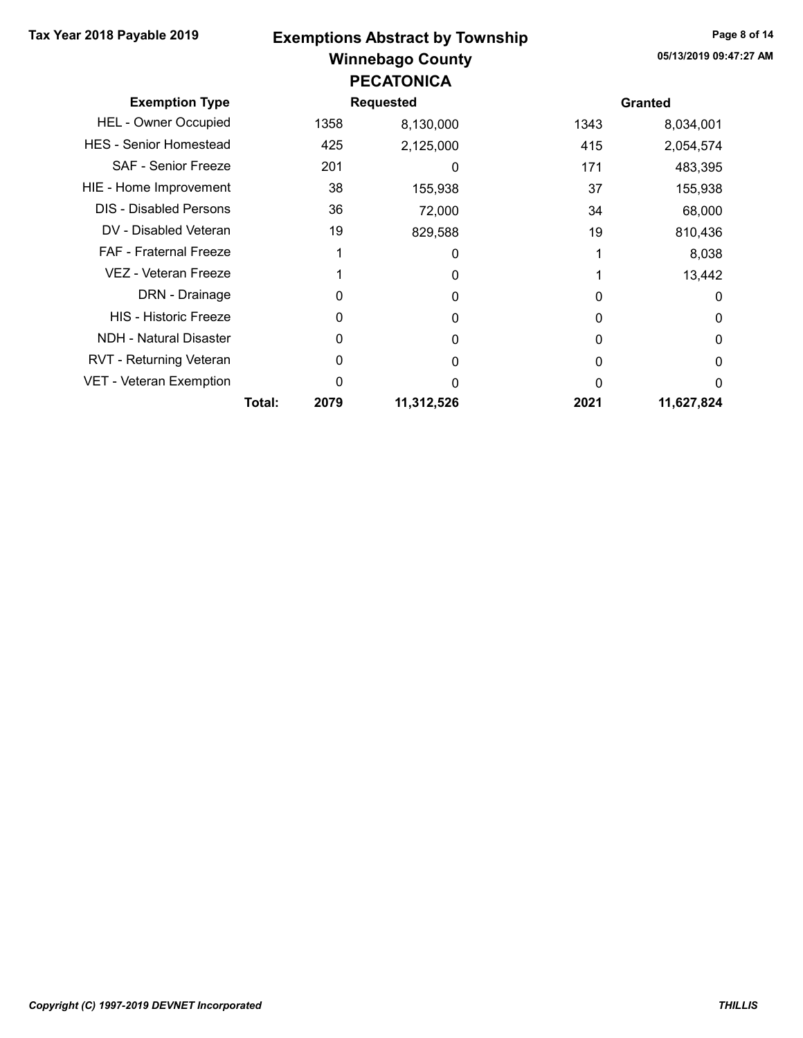#### Winnebago County Tax Year 2018 Payable 2019 Page 8 of 14 Exemptions Abstract by Township PECATONICA

| <b>Exemption Type</b>         |        |      | <b>Requested</b> |      | <b>Granted</b> |
|-------------------------------|--------|------|------------------|------|----------------|
| <b>HEL - Owner Occupied</b>   |        | 1358 | 8,130,000        | 1343 | 8,034,001      |
| <b>HES</b> - Senior Homestead |        | 425  | 2,125,000        | 415  | 2,054,574      |
| <b>SAF - Senior Freeze</b>    |        | 201  | 0                | 171  | 483,395        |
| HIE - Home Improvement        |        | 38   | 155,938          | 37   | 155,938        |
| <b>DIS - Disabled Persons</b> |        | 36   | 72,000           | 34   | 68,000         |
| DV - Disabled Veteran         |        | 19   | 829,588          | 19   | 810,436        |
| <b>FAF</b> - Fraternal Freeze |        |      | 0                |      | 8,038          |
| VEZ - Veteran Freeze          |        |      | 0                |      | 13,442         |
| DRN - Drainage                |        | 0    | 0                | O    | 0              |
| <b>HIS - Historic Freeze</b>  |        | 0    | 0                | O    | 0              |
| <b>NDH - Natural Disaster</b> |        | 0    | 0                | O    | 0              |
| RVT - Returning Veteran       |        | 0    | O                | 0    | 0              |
| VET - Veteran Exemption       |        | 0    | 0                |      | 0              |
|                               | Total: | 2079 | 11,312,526       | 2021 | 11,627,824     |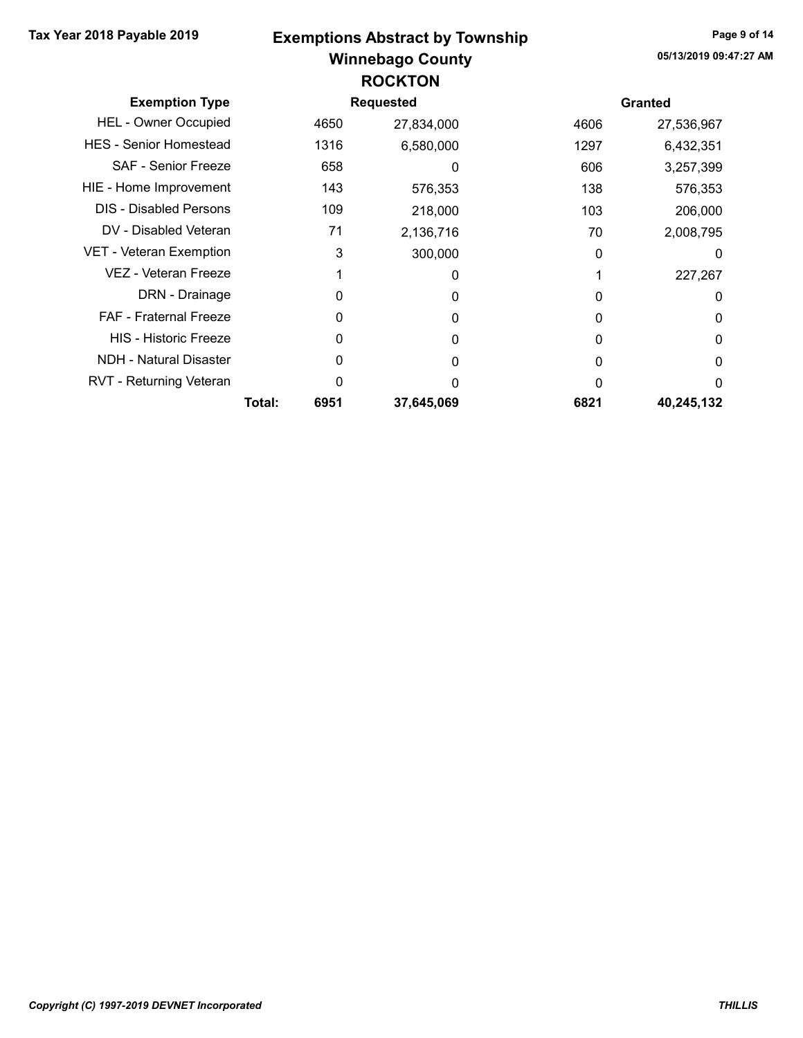## Winnebago County Tax Year 2018 Payable 2019 Page 9 of 14 Exemptions Abstract by Township ROCKTON

| <b>Exemption Type</b>         |        |      | <b>Requested</b> |          | <b>Granted</b> |
|-------------------------------|--------|------|------------------|----------|----------------|
| <b>HEL - Owner Occupied</b>   |        | 4650 | 27,834,000       | 4606     | 27,536,967     |
| <b>HES - Senior Homestead</b> |        | 1316 | 6,580,000        | 1297     | 6,432,351      |
| <b>SAF - Senior Freeze</b>    |        | 658  | 0                | 606      | 3,257,399      |
| HIE - Home Improvement        |        | 143  | 576,353          | 138      | 576,353        |
| <b>DIS - Disabled Persons</b> |        | 109  | 218,000          | 103      | 206,000        |
| DV - Disabled Veteran         |        | 71   | 2,136,716        | 70       | 2,008,795      |
| VET - Veteran Exemption       |        | 3    | 300,000          | $\Omega$ | 0              |
| VEZ - Veteran Freeze          |        |      | 0                |          | 227,267        |
| DRN - Drainage                |        | 0    | 0                | O        | 0              |
| <b>FAF</b> - Fraternal Freeze |        | 0    | 0                | 0        | 0              |
| <b>HIS - Historic Freeze</b>  |        | 0    | 0                | O        | 0              |
| <b>NDH - Natural Disaster</b> |        | 0    | 0                | 0        | 0              |
| RVT - Returning Veteran       |        | ი    | O                | U        | $\Omega$       |
|                               | Total: | 6951 | 37,645,069       | 6821     | 40,245,132     |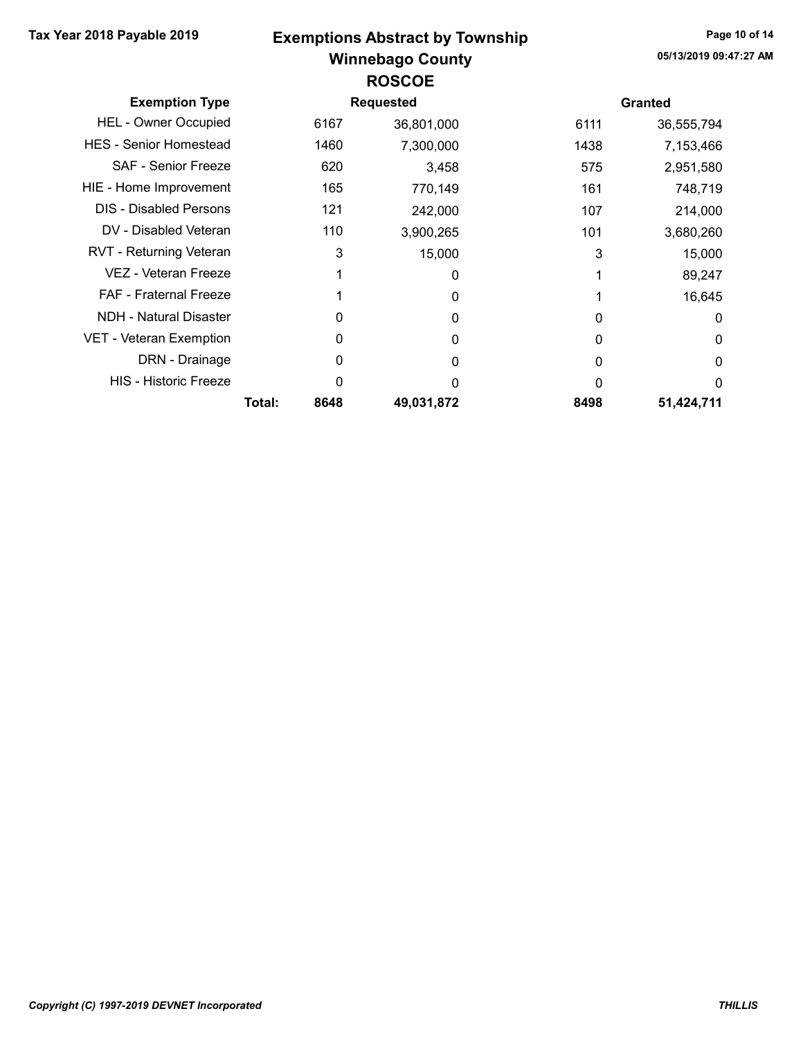# Winnebago County Tax Year 2018 Payable 2019 Exemptions Abstract by Township Page 10 of 14 ROSCOE

| <b>Exemption Type</b>          | <b>Requested</b> |      |            |          | <b>Granted</b> |  |  |
|--------------------------------|------------------|------|------------|----------|----------------|--|--|
|                                |                  |      |            |          |                |  |  |
| <b>HEL - Owner Occupied</b>    |                  | 6167 | 36,801,000 | 6111     | 36,555,794     |  |  |
| <b>HES - Senior Homestead</b>  |                  | 1460 | 7,300,000  | 1438     | 7,153,466      |  |  |
| <b>SAF - Senior Freeze</b>     |                  | 620  | 3,458      | 575      | 2,951,580      |  |  |
| HIE - Home Improvement         |                  | 165  | 770,149    | 161      | 748,719        |  |  |
| <b>DIS - Disabled Persons</b>  |                  | 121  | 242,000    | 107      | 214,000        |  |  |
| DV - Disabled Veteran          |                  | 110  | 3,900,265  | 101      | 3,680,260      |  |  |
| <b>RVT - Returning Veteran</b> |                  | 3    | 15,000     | 3        | 15,000         |  |  |
| VEZ - Veteran Freeze           |                  |      | 0          |          | 89,247         |  |  |
| <b>FAF</b> - Fraternal Freeze  |                  |      | 0          |          | 16,645         |  |  |
| NDH - Natural Disaster         |                  | O    | $\Omega$   | 0        | 0              |  |  |
| <b>VET - Veteran Exemption</b> |                  | 0    | 0          | $\Omega$ | 0              |  |  |
| DRN - Drainage                 |                  | 0    | 0          | 0        | 0              |  |  |
| <b>HIS - Historic Freeze</b>   |                  | 0    | O          | 0        | $\Omega$       |  |  |
|                                | Total:           | 8648 | 49.031.872 | 8498     | 51,424,711     |  |  |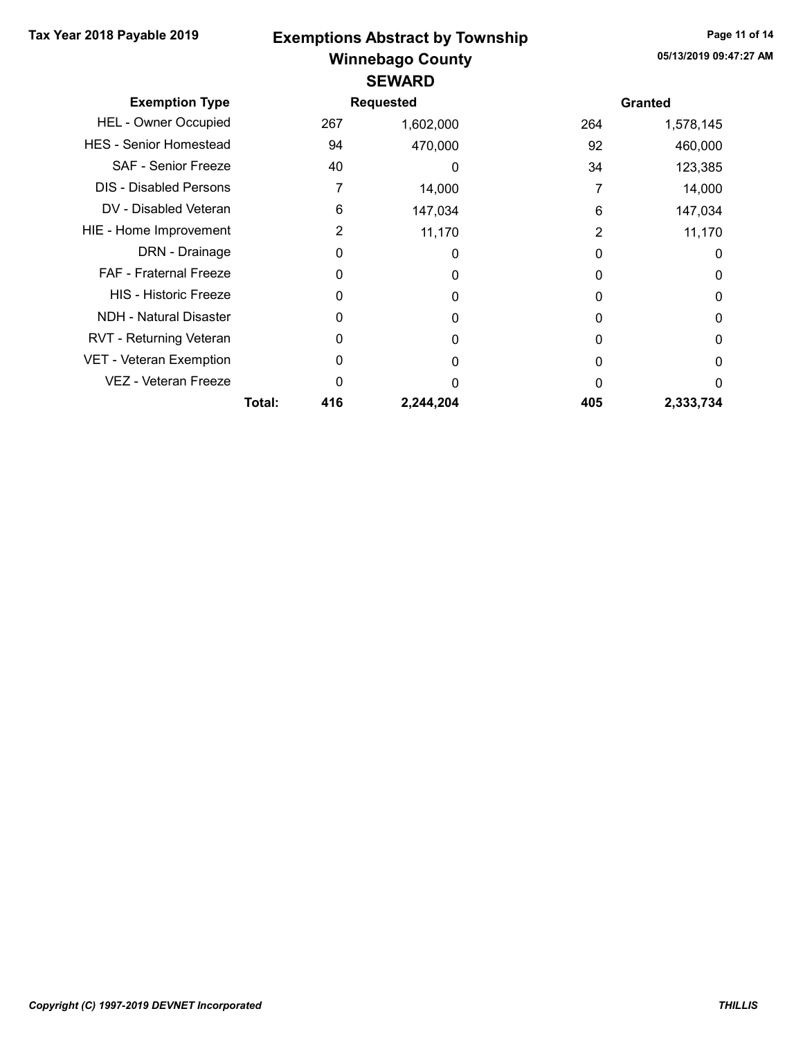### Winnebago County Tax Year 2018 Payable 2019 Exemptions Abstract by Township Page 11 of 14 **SEWARD**

| <b>Exemption Type</b>         |        |     | <b>Requested</b> |     | <b>Granted</b> |
|-------------------------------|--------|-----|------------------|-----|----------------|
| <b>HEL - Owner Occupied</b>   |        | 267 | 1,602,000        | 264 | 1,578,145      |
| <b>HES</b> - Senior Homestead |        | 94  | 470,000          | 92  | 460,000        |
| <b>SAF - Senior Freeze</b>    |        | 40  | 0                | 34  | 123,385        |
| <b>DIS</b> - Disabled Persons |        |     | 14,000           |     | 14,000         |
| DV - Disabled Veteran         |        | 6   | 147,034          | 6   | 147,034        |
| HIE - Home Improvement        |        | 2   | 11,170           | 2   | 11,170         |
| DRN - Drainage                |        | 0   | 0                | 0   | 0              |
| FAF - Fraternal Freeze        |        | 0   | 0                | O   | 0              |
| <b>HIS - Historic Freeze</b>  |        | 0   | $\Omega$         | O   | 0              |
| <b>NDH - Natural Disaster</b> |        | O   | 0                | O   | 0              |
| RVT - Returning Veteran       |        | 0   | 0                | O   | 0              |
| VET - Veteran Exemption       |        | 0   | 0                |     | 0              |
| VEZ - Veteran Freeze          |        | O   |                  |     | 0              |
|                               | Total: | 416 | 2,244,204        | 405 | 2,333,734      |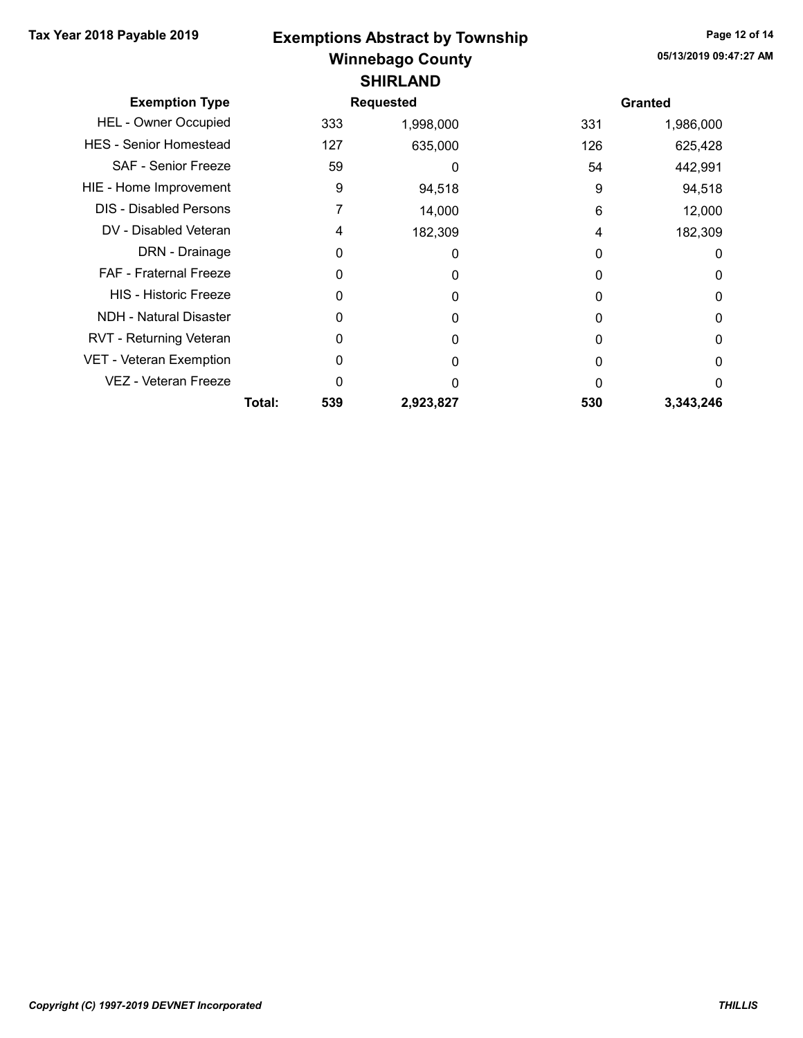#### Winnebago County Tax Year 2018 Payable 2019 Exemptions Abstract by Township Page 12 of 14 SHIRLAND

| <b>Exemption Type</b>          |        |     | <b>Requested</b> |     | <b>Granted</b> |
|--------------------------------|--------|-----|------------------|-----|----------------|
| <b>HEL - Owner Occupied</b>    |        | 333 | 1,998,000        | 331 | 1,986,000      |
| <b>HES</b> - Senior Homestead  |        | 127 | 635,000          | 126 | 625,428        |
| SAF - Senior Freeze            |        | 59  | 0                | 54  | 442,991        |
| HIE - Home Improvement         |        | 9   | 94,518           | 9   | 94,518         |
| <b>DIS</b> - Disabled Persons  |        | 7   | 14,000           | 6   | 12,000         |
| DV - Disabled Veteran          |        | 4   | 182,309          | 4   | 182,309        |
| DRN - Drainage                 |        | 0   | 0                | O   | 0              |
| <b>FAF - Fraternal Freeze</b>  |        | 0   | 0                | 0   | 0              |
| <b>HIS - Historic Freeze</b>   |        | 0   | 0                | O   | 0              |
| <b>NDH - Natural Disaster</b>  |        | 0   | O                |     | 0              |
| RVT - Returning Veteran        |        | 0   | O                | O   | 0              |
| <b>VET - Veteran Exemption</b> |        | 0   | O                |     | 0              |
| <b>VEZ - Veteran Freeze</b>    |        | ი   | O                | U   | 0              |
|                                | Total: | 539 | 2,923,827        | 530 | 3,343,246      |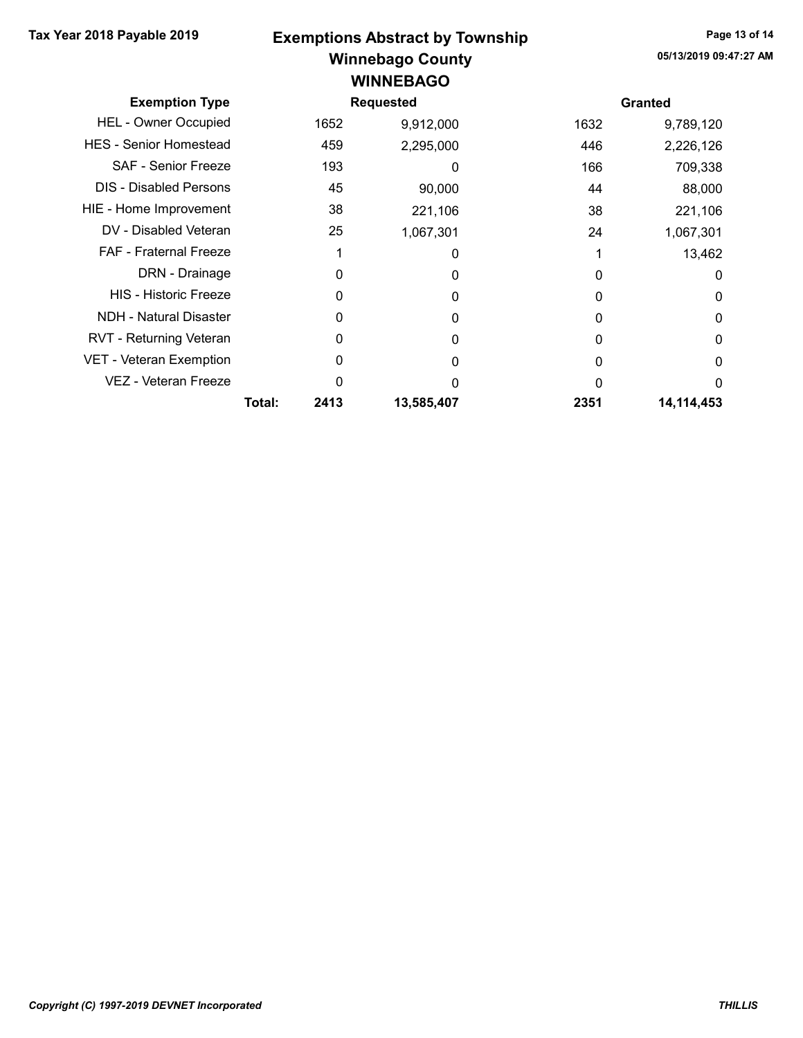#### Winnebago County Tax Year 2018 Payable 2019 Exemptions Abstract by Township Page 13 of 14 **WINNEBAGO**

| <b>Exemption Type</b>          |        |      | <b>Requested</b> |      | <b>Granted</b> |
|--------------------------------|--------|------|------------------|------|----------------|
| <b>HEL - Owner Occupied</b>    |        | 1652 | 9,912,000        | 1632 | 9,789,120      |
| <b>HES</b> - Senior Homestead  |        | 459  | 2,295,000        | 446  | 2,226,126      |
| <b>SAF - Senior Freeze</b>     |        | 193  | 0                | 166  | 709,338        |
| <b>DIS</b> - Disabled Persons  |        | 45   | 90,000           | 44   | 88,000         |
| HIE - Home Improvement         |        | 38   | 221,106          | 38   | 221,106        |
| DV - Disabled Veteran          |        | 25   | 1,067,301        | 24   | 1,067,301      |
| <b>FAF</b> - Fraternal Freeze  |        |      | 0                |      | 13,462         |
| DRN - Drainage                 |        | 0    | 0                |      | 0              |
| <b>HIS - Historic Freeze</b>   |        | 0    | 0                | 0    | 0              |
| <b>NDH - Natural Disaster</b>  |        | 0    | 0                | 0    | 0              |
| RVT - Returning Veteran        |        | 0    | 0                | 0    | 0              |
| <b>VET - Veteran Exemption</b> |        | O    | 0                | 0    | 0              |
| <b>VEZ - Veteran Freeze</b>    |        | 0    | O                |      | $\Omega$       |
|                                | Total: | 2413 | 13,585,407       | 2351 | 14,114,453     |